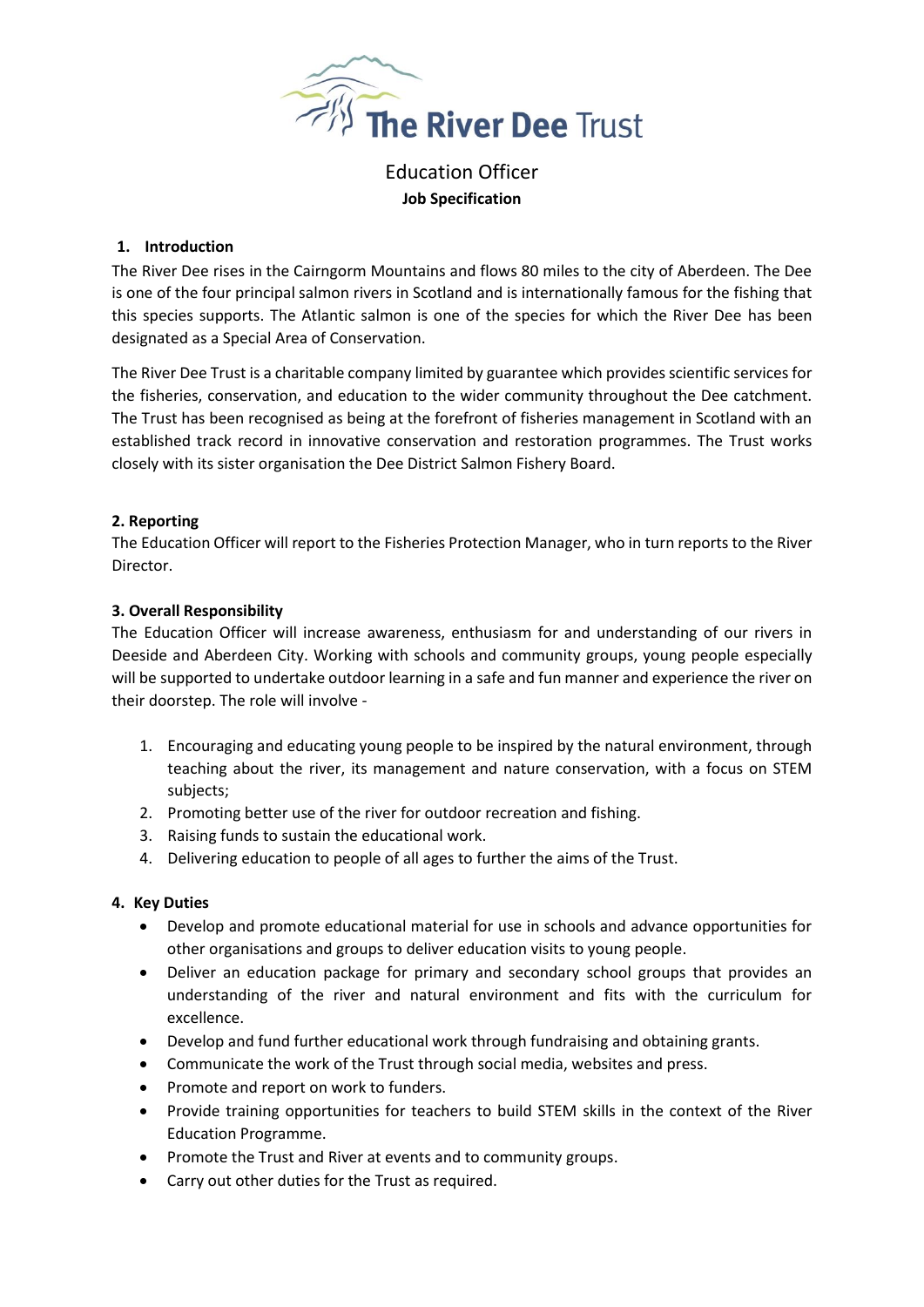

Education Officer **Job Specification**

### **1. Introduction**

The River Dee rises in the Cairngorm Mountains and flows 80 miles to the city of Aberdeen. The Dee is one of the four principal salmon rivers in Scotland and is internationally famous for the fishing that this species supports. The Atlantic salmon is one of the species for which the River Dee has been designated as a Special Area of Conservation.

The River Dee Trust is a charitable company limited by guarantee which provides scientific services for the fisheries, conservation, and education to the wider community throughout the Dee catchment. The Trust has been recognised as being at the forefront of fisheries management in Scotland with an established track record in innovative conservation and restoration programmes. The Trust works closely with its sister organisation the Dee District Salmon Fishery Board.

# **2. Reporting**

The Education Officer will report to the Fisheries Protection Manager, who in turn reports to the River Director.

### **3. Overall Responsibility**

The Education Officer will increase awareness, enthusiasm for and understanding of our rivers in Deeside and Aberdeen City. Working with schools and community groups, young people especially will be supported to undertake outdoor learning in a safe and fun manner and experience the river on their doorstep. The role will involve -

- 1. Encouraging and educating young people to be inspired by the natural environment, through teaching about the river, its management and nature conservation, with a focus on STEM subjects;
- 2. Promoting better use of the river for outdoor recreation and fishing.
- 3. Raising funds to sustain the educational work.
- 4. Delivering education to people of all ages to further the aims of the Trust.

# **4. Key Duties**

- Develop and promote educational material for use in schools and advance opportunities for other organisations and groups to deliver education visits to young people.
- Deliver an education package for primary and secondary school groups that provides an understanding of the river and natural environment and fits with the curriculum for excellence.
- Develop and fund further educational work through fundraising and obtaining grants.
- Communicate the work of the Trust through social media, websites and press.
- Promote and report on work to funders.
- Provide training opportunities for teachers to build STEM skills in the context of the River Education Programme.
- Promote the Trust and River at events and to community groups.
- Carry out other duties for the Trust as required.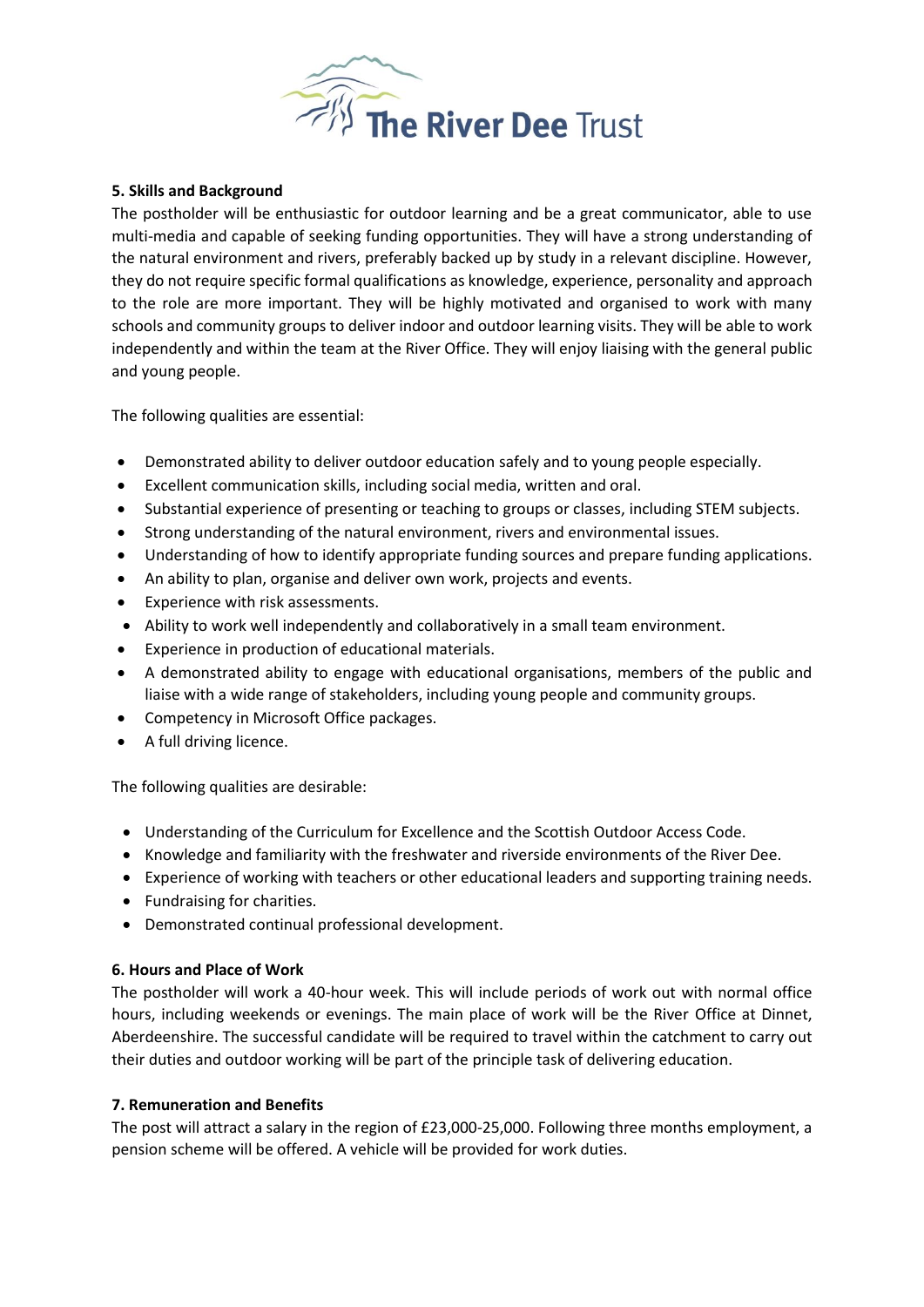

### **5. Skills and Background**

The postholder will be enthusiastic for outdoor learning and be a great communicator, able to use multi-media and capable of seeking funding opportunities. They will have a strong understanding of the natural environment and rivers, preferably backed up by study in a relevant discipline. However, they do not require specific formal qualifications as knowledge, experience, personality and approach to the role are more important. They will be highly motivated and organised to work with many schools and community groups to deliver indoor and outdoor learning visits. They will be able to work independently and within the team at the River Office. They will enjoy liaising with the general public and young people.

The following qualities are essential:

- Demonstrated ability to deliver outdoor education safely and to young people especially.
- Excellent communication skills, including social media, written and oral.
- Substantial experience of presenting or teaching to groups or classes, including STEM subjects.
- Strong understanding of the natural environment, rivers and environmental issues.
- Understanding of how to identify appropriate funding sources and prepare funding applications.
- An ability to plan, organise and deliver own work, projects and events.
- Experience with risk assessments.
- Ability to work well independently and collaboratively in a small team environment.
- Experience in production of educational materials.
- A demonstrated ability to engage with educational organisations, members of the public and liaise with a wide range of stakeholders, including young people and community groups.
- Competency in Microsoft Office packages.
- A full driving licence.

The following qualities are desirable:

- Understanding of the Curriculum for Excellence and the Scottish Outdoor Access Code.
- Knowledge and familiarity with the freshwater and riverside environments of the River Dee.
- Experience of working with teachers or other educational leaders and supporting training needs.
- Fundraising for charities.
- Demonstrated continual professional development.

#### **6. Hours and Place of Work**

The postholder will work a 40-hour week. This will include periods of work out with normal office hours, including weekends or evenings. The main place of work will be the River Office at Dinnet, Aberdeenshire. The successful candidate will be required to travel within the catchment to carry out their duties and outdoor working will be part of the principle task of delivering education.

#### **7. Remuneration and Benefits**

The post will attract a salary in the region of £23,000-25,000. Following three months employment, a pension scheme will be offered. A vehicle will be provided for work duties.